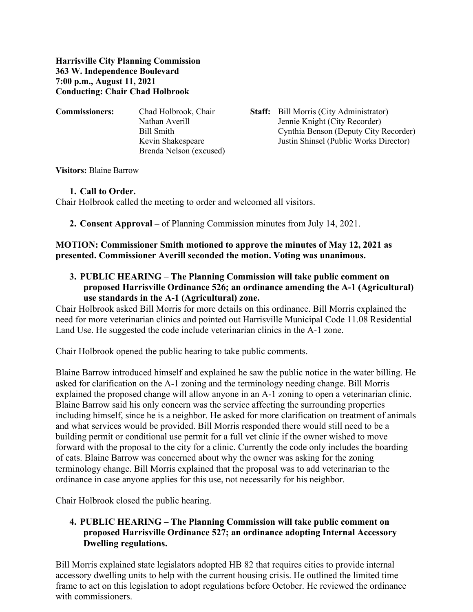**Harrisville City Planning Commission 363 W. Independence Boulevard 7:00 p.m., August 11, 2021 Conducting: Chair Chad Holbrook**

| <b>Commissioners:</b> | Chad Holbrook, Chair    | <b>Staff:</b> Bill Morris (City Administrator) |
|-----------------------|-------------------------|------------------------------------------------|
|                       | Nathan Averill          | Jennie Knight (City Recorder)                  |
|                       | Bill Smith              | Cynthia Benson (Deputy City Recorder)          |
|                       | Kevin Shakespeare       | Justin Shinsel (Public Works Director)         |
|                       | Brenda Nelson (excused) |                                                |
|                       |                         |                                                |

**Visitors:** Blaine Barrow

#### **1. Call to Order.**

Chair Holbrook called the meeting to order and welcomed all visitors.

**2. Consent Approval –** of Planning Commission minutes from July 14, 2021.

### **MOTION: Commissioner Smith motioned to approve the minutes of May 12, 2021 as presented. Commissioner Averill seconded the motion. Voting was unanimous.**

**3. PUBLIC HEARING** – **The Planning Commission will take public comment on proposed Harrisville Ordinance 526; an ordinance amending the A-1 (Agricultural) use standards in the A-1 (Agricultural) zone.**

Chair Holbrook asked Bill Morris for more details on this ordinance. Bill Morris explained the need for more veterinarian clinics and pointed out Harrisville Municipal Code 11.08 Residential Land Use. He suggested the code include veterinarian clinics in the A-1 zone.

Chair Holbrook opened the public hearing to take public comments.

Blaine Barrow introduced himself and explained he saw the public notice in the water billing. He asked for clarification on the A-1 zoning and the terminology needing change. Bill Morris explained the proposed change will allow anyone in an A-1 zoning to open a veterinarian clinic. Blaine Barrow said his only concern was the service affecting the surrounding properties including himself, since he is a neighbor. He asked for more clarification on treatment of animals and what services would be provided. Bill Morris responded there would still need to be a building permit or conditional use permit for a full vet clinic if the owner wished to move forward with the proposal to the city for a clinic. Currently the code only includes the boarding of cats. Blaine Barrow was concerned about why the owner was asking for the zoning terminology change. Bill Morris explained that the proposal was to add veterinarian to the ordinance in case anyone applies for this use, not necessarily for his neighbor.

Chair Holbrook closed the public hearing.

# **4. PUBLIC HEARING – The Planning Commission will take public comment on proposed Harrisville Ordinance 527; an ordinance adopting Internal Accessory Dwelling regulations.**

Bill Morris explained state legislators adopted HB 82 that requires cities to provide internal accessory dwelling units to help with the current housing crisis. He outlined the limited time frame to act on this legislation to adopt regulations before October. He reviewed the ordinance with commissioners.